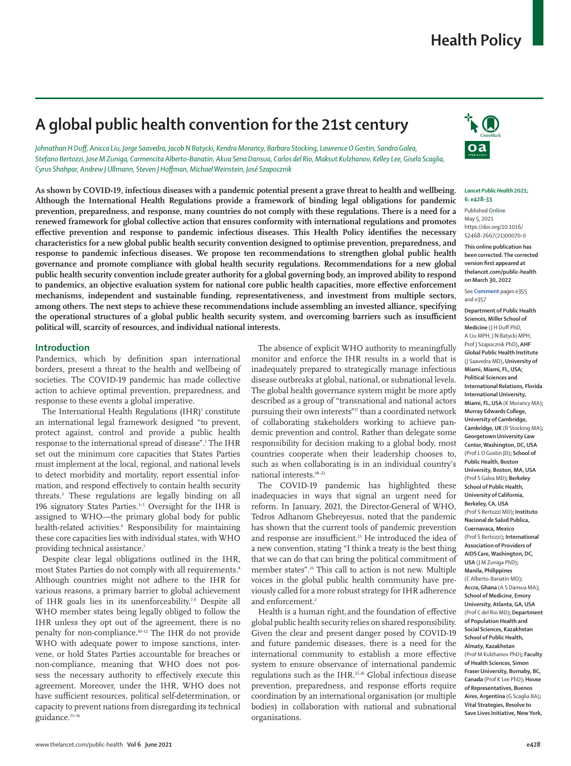# **Health Policy**

# **A global public health convention for the 21st century**

*Johnathan H Duff, Anicca Liu, Jorge Saavedra, Jacob N Batycki, Kendra Morancy, Barbara Stocking, Lawrence O Gostin, Sandro Galea, Stefano Bertozzi, Jose M Zuniga, Carmencita Alberto-Banatin, Akua Sena Dansua, Carlos del Rio, Maksut Kulzhanov, Kelley Lee, Gisela Scaglia, Cyrus Shahpar, Andrew J Ullmann, Steven J Hoffman, Michael Weinstein, José Szapocznik*

**As shown by COVID-19, infectious diseases with a pandemic potential present a grave threat to health and wellbeing. Although the International Health Regulations provide a framework of binding legal obligations for pandemic prevention, preparedness, and response, many countries do not comply with these regulations. There is a need for a renewed framework for global collective action that ensures conformity with international regulations and promotes effective prevention and response to pandemic infectious diseases. This Health Policy identifies the necessary characteristics for a new global public health security convention designed to optimise prevention, preparedness, and response to pandemic infectious diseases. We propose ten recommendations to strengthen global public health governance and promote compliance with global health security regulations. Recommendations for a new global public health security convention include greater authority for a global governing body, an improved ability to respond to pandemics, an objective evaluation system for national core public health capacities, more effective enforcement mechanisms, independent and sustainable funding, representativeness, and investment from multiple sectors, among others. The next steps to achieve these recommendations include assembling an invested alliance, specifying the operational structures of a global public health security system, and overcoming barriers such as insufficient political will, scarcity of resources, and individual national interests.**

# **Introduction**

Pandemics, which by definition span international borders, present a threat to the health and wellbeing of societies. The COVID-19 pandemic has made collective action to achieve optimal prevention, preparedness, and response to these events a global imperative.

The International Health Regulations  $(HIR)^1$  constitute an international legal framework designed "to prevent, protect against, control and provide a public health response to the international spread of disease".1 The IHR set out the minimum core capacities that States Parties must implement at the local, regional, and national levels to detect morbidity and mortality, report essential information, and respond effectively to contain health security threats.2 These regulations are legally binding on all 196 signatory States Parties.<sup>3-5</sup> Oversight for the IHR is assigned to WHO—the primary global body for public health-related activities.6 Responsibility for maintaining these core capacities lies with individual states, with WHO providing technical assistance.<sup>7</sup>

Despite clear legal obligations outlined in the IHR, most States Parties do not comply with all requirements.<sup>8</sup> Although countries might not adhere to the IHR for various reasons, a primary barrier to global achievement of IHR goals lies in its unenforceability.<sup>7,9</sup> Despite all WHO member states being legally obliged to follow the IHR unless they opt out of the agreement, there is no penalty for non-compliance.10–12 The IHR do not provide WHO with adequate power to impose sanctions, intervene, or hold States Parties accountable for breaches or non-compliance, meaning that WHO does not possess the necessary authority to effectively execute this agreement. Moreover, under the IHR, WHO does not have sufficient resources, political self-determination, or capacity to prevent nations from disregarding its technical guidance.13–16

The absence of explicit WHO authority to meaningfully monitor and enforce the IHR results in a world that is inadequately prepared to strategically manage infectious disease outbreaks at global, national, or subnational levels. The global health governance system might be more aptly described as a group of "transnational and national actors pursuing their own interests"<sup>17</sup> than a coordinated network of collaborating stakeholders working to achieve pandemic prevention and control. Rather than delegate some responsibility for decision making to a global body, most countries cooperate when their leadership chooses to, such as when collaborating is in an individual country's national interests.18–22

The COVID-19 pandemic has highlighted these inadequacies in ways that signal an urgent need for reform. In January, 2021, the Director-General of WHO, Tedros Adhanom Ghebreyesus, noted that the pandemic has shown that the current tools of pandemic prevention and response are insufficient.<sup>23</sup> He introduced the idea of a new convention, stating "I think a treaty is the best thing that we can do that can bring the political commitment of member states".24 This call to action is not new. Multiple voices in the global public health community have previously called for a more robust strategy for IHR adherence and enforcement.<sup>2</sup>

Health is a human right, and the foundation of effective global public health security relies on shared responsibility. Given the clear and present danger posed by COVID-19 and future pandemic diseases, there is a need for the international community to establish a more effective system to ensure observance of international pandemic regulations such as the IHR.25,26 Global infectious disease prevention, preparedness, and response efforts require coordination by an international organisation (or multiple bodies) in collaboration with national and subnational organisations.



#### *Lancet Public Health* **2021; 6: e428–33**

Published **Online** May 5, 2021 https://doi.org/10.1016/ S2468-2667(21)00070-0

**This online publication has been corrected. The corrected version first appeared at thelancet.com/public-health on March 30, 2022**

See **Comment** pages e355 and e357

**Department of Public Health Sciences, Miller School of Medicine** (J H Duff PhD, A Liu MPH, J N Batycki MPH, Prof J Szapocznik PhD)**, AHF Global Public Health Institute**  (J Saavedra MD)**, University of Miami, Miami, FL, USA; Political Sciences and International Relations, Florida International University, Miami, FL, USA** (K Morancy MA)**; Murray Edwards College, University of Cambridge, Cambridge, UK** (B Stocking MA)**; Georgetown University Law Center, Washington, DC, USA** (Prof L O Gostin JD)**; School of Public Health, Boston University, Boston, MA, USA**  (Prof S Galea MD)**; Berkeley School of Public Health, University of California, Berkeley, CA, USA**  (Prof S Bertozzi MD)**; Instituto Nacional de Salud Publica, Cuernavaca, Mexico**  (Prof S Bertozzi)**; International Association of Providers of AIDS Care, Washington, DC, USA** (J M Zuniga PhD)**; Manila, Philippines**  (C Alberto-Banatin MD)**; Accra, Ghana** (A S Dansua MA)**; School of Medicine, Emory University, Atlanta, GA, USA** (Prof C del Rio MD)**; Department of Population Health and Social Sciences, Kazakhstan School of Public Health, Almaty, Kazakhstan** (Prof M Kulzhanov PhD)**; Faculty of Health Sciences, Simon Fraser University, Burnaby, BC, Canada** (Prof K Lee PhD)**; House of Representatives, Buenos Aires, Argentina** (G Scaglia BA)**; Vital Strategies, Resolve to Save Lives Initiative, New York,**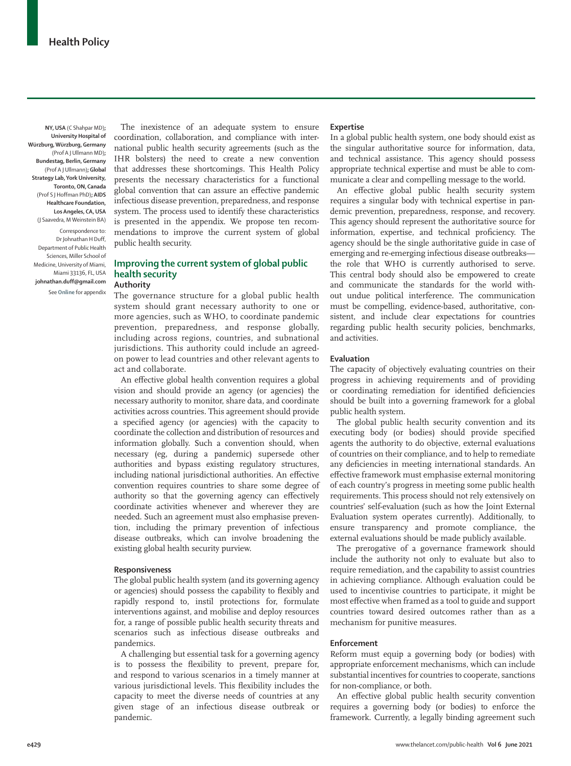**NY, USA** (C Shahpar MD)**; University Hospital of Würzburg, Würzburg, Germany**  (Prof A J Ullmann MD)**; Bundestag, Berlin, Germany**  (Prof A J Ullmann)**; Global Strategy Lab, York University, Toronto, ON, Canada**  (Prof S J Hoffman PhD)**; AIDS Healthcare Foundation, Los Angeles, CA, USA**  (J Saavedra, M Weinstein BA)

Correspondence to: Dr Johnathan H Duff, Department of Public Health Sciences, Miller School of Medicine, University of Miami, Miami 33136, FL, USA **johnathan.duff@gmail.com**

See **Online** for appendix

The inexistence of an adequate system to ensure coordination, collaboration, and compliance with international public health security agreements (such as the IHR bolsters) the need to create a new convention that addresses these shortcomings. This Health Policy presents the necessary characteristics for a functional global convention that can assure an effective pandemic infectious disease prevention, preparedness, and response system. The process used to identify these characteristics is presented in the appendix. We propose ten recommendations to improve the current system of global public health security.

# **Improving the current system of global public health security Authority**

The governance structure for a global public health system should grant necessary authority to one or more agencies, such as WHO, to coordinate pandemic prevention, preparedness, and response globally, including across regions, countries, and subnational jurisdictions. This authority could include an agreedon power to lead countries and other relevant agents to act and collaborate.

An effective global health convention requires a global vision and should provide an agency (or agencies) the necessary authority to monitor, share data, and coordinate activities across countries. This agreement should provide a specified agency (or agencies) with the capacity to coordinate the collection and distribution of resources and information globally. Such a convention should, when necessary (eg, during a pandemic) supersede other authorities and bypass existing regulatory structures, including national jurisdictional authorities. An effective convention requires countries to share some degree of authority so that the governing agency can effectively coordinate activities whenever and wherever they are needed. Such an agreement must also emphasise prevention, including the primary prevention of infectious disease outbreaks, which can involve broadening the existing global health security purview.

# **Responsiveness**

The global public health system (and its governing agency or agencies) should possess the capability to flexibly and rapidly respond to, instil protections for, formulate interventions against, and mobilise and deploy resources for, a range of possible public health security threats and scenarios such as infectious disease outbreaks and pandemics.

A challenging but essential task for a governing agency is to possess the flexibility to prevent, prepare for, and respond to various scenarios in a timely manner at various jurisdictional levels. This flexibility includes the capacity to meet the diverse needs of countries at any given stage of an infectious disease outbreak or pandemic.

### **Expertise**

In a global public health system, one body should exist as the singular authoritative source for information, data, and technical assistance. This agency should possess appropriate technical expertise and must be able to communicate a clear and compelling message to the world.

An effective global public health security system requires a singular body with technical expertise in pandemic prevention, preparedness, response, and recovery. This agency should represent the authoritative source for information, expertise, and technical proficiency. The agency should be the single authoritative guide in case of emerging and re-emerging infectious disease outbreaks the role that WHO is currently authorised to serve. This central body should also be empowered to create and communicate the standards for the world without undue political interference. The communication must be compelling, evidence-based, authoritative, consistent, and include clear expectations for countries regarding public health security policies, benchmarks, and activities.

## **Evaluation**

The capacity of objectively evaluating countries on their progress in achieving requirements and of providing or coordinating remediation for identified deficiencies should be built into a governing framework for a global public health system.

The global public health security convention and its executing body (or bodies) should provide specified agents the authority to do objective, external evaluations of countries on their compliance, and to help to remediate any deficiencies in meeting international standards. An effective framework must emphasise external monitoring of each country's progress in meeting some public health requirements. This process should not rely extensively on countries' self-evaluation (such as how the Joint External Evaluation system operates currently). Additionally, to ensure transparency and promote compliance, the external evaluations should be made publicly available.

The prerogative of a governance framework should include the authority not only to evaluate but also to require remediation, and the capability to assist countries in achieving compliance. Although evaluation could be used to incentivise countries to participate, it might be most effective when framed as a tool to guide and support countries toward desired outcomes rather than as a mechanism for punitive measures.

#### **Enforcement**

Reform must equip a governing body (or bodies) with appropriate enforcement mechanisms, which can include substantial incentives for countries to cooperate, sanctions for non-compliance, or both.

An effective global public health security convention requires a governing body (or bodies) to enforce the framework. Currently, a legally binding agreement such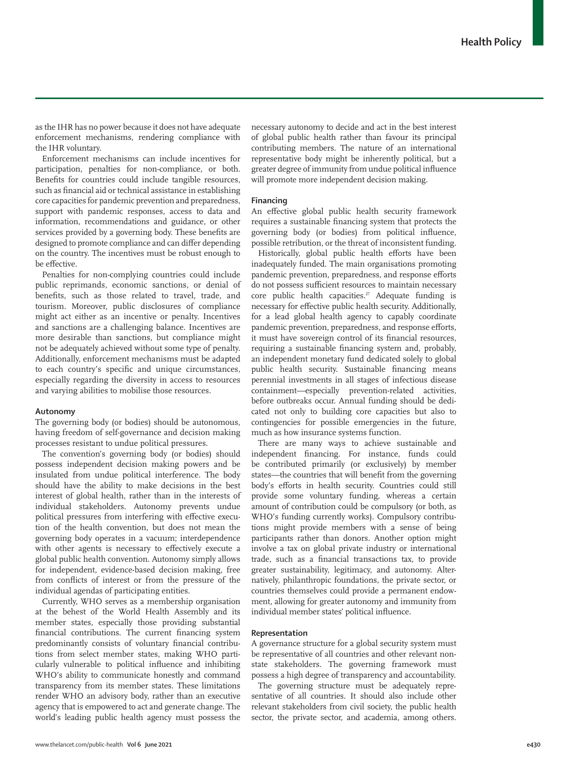as the IHR has no power because it does not have adequate enforcement mechanisms, rendering compliance with the IHR voluntary.

Enforcement mechanisms can include incentives for participation, penalties for non-compliance, or both. Benefits for countries could include tangible resources, such as financial aid or technical assistance in establishing core capacities for pandemic prevention and preparedness, support with pandemic responses, access to data and information, recommendations and guidance, or other services provided by a governing body. These benefits are designed to promote compliance and can differ depending on the country. The incentives must be robust enough to be effective.

Penalties for non-complying countries could include public reprimands, economic sanctions, or denial of benefits, such as those related to travel, trade, and tourism. Moreover, public disclosures of compliance might act either as an incentive or penalty. Incentives and sanctions are a challenging balance. Incentives are more desirable than sanctions, but compliance might not be adequately achieved without some type of penalty. Additionally, enforcement mechanisms must be adapted to each country's specific and unique circumstances, especially regarding the diversity in access to resources and varying abilities to mobilise those resources.

## **Autonomy**

The governing body (or bodies) should be autonomous, having freedom of self-governance and decision making processes resistant to undue political pressures.

The convention's governing body (or bodies) should possess independent decision making powers and be insulated from undue political interference. The body should have the ability to make decisions in the best interest of global health, rather than in the interests of individual stakeholders. Autonomy prevents undue political pressures from interfering with effective execution of the health convention, but does not mean the governing body operates in a vacuum; interdependence with other agents is necessary to effectively execute a global public health convention. Autonomy simply allows for independent, evidence-based decision making, free from conflicts of interest or from the pressure of the individual agendas of participating entities.

Currently, WHO serves as a membership organisation at the behest of the World Health Assembly and its member states, especially those providing substantial financial contributions. The current financing system predominantly consists of voluntary financial contributions from select member states, making WHO particularly vulnerable to political influence and inhibiting WHO's ability to communicate honestly and command transparency from its member states. These limitations render WHO an advisory body, rather than an executive agency that is empowered to act and generate change. The world's leading public health agency must possess the necessary autonomy to decide and act in the best interest of global public health rather than favour its principal contributing members. The nature of an international representative body might be inherently political, but a greater degree of immunity from undue political influence will promote more independent decision making.

### **Financing**

An effective global public health security framework requires a sustainable financing system that protects the governing body (or bodies) from political influence, possible retribution, or the threat of inconsistent funding.

Historically, global public health efforts have been inadequately funded. The main organisations promoting pandemic prevention, preparedness, and response efforts do not possess sufficient resources to maintain necessary core public health capacities.<sup>27</sup> Adequate funding is necessary for effective public health security. Additionally, for a lead global health agency to capably coordinate pandemic prevention, preparedness, and response efforts, it must have sovereign control of its financial resources, requiring a sustainable financing system and, probably, an independent monetary fund dedicated solely to global public health security. Sustainable financing means perennial investments in all stages of infectious disease containment—especially prevention-related activities, before outbreaks occur. Annual funding should be dedicated not only to building core capacities but also to contingencies for possible emergencies in the future, much as how insurance systems function.

There are many ways to achieve sustainable and independent financing. For instance, funds could be contributed primarily (or exclusively) by member states—the countries that will benefit from the governing body's efforts in health security. Countries could still provide some voluntary funding, whereas a certain amount of contribution could be compulsory (or both, as WHO's funding currently works). Compulsory contributions might provide members with a sense of being participants rather than donors. Another option might involve a tax on global private industry or international trade, such as a financial transactions tax, to provide greater sustainability, legitimacy, and autonomy. Alternatively, philanthropic foundations, the private sector, or countries themselves could provide a permanent endowment, allowing for greater autonomy and immunity from individual member states' political influence.

# **Representation**

A governance structure for a global security system must be representative of all countries and other relevant nonstate stakeholders. The governing framework must possess a high degree of transparency and accountability.

The governing structure must be adequately representative of all countries. It should also include other relevant stakeholders from civil society, the public health sector, the private sector, and academia, among others.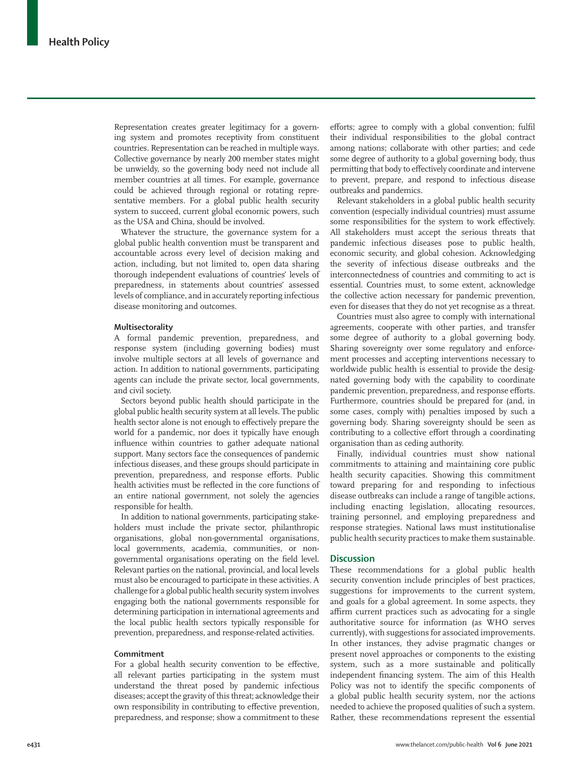Representation creates greater legitimacy for a governing system and promotes receptivity from constituent countries. Representation can be reached in multiple ways. Collective governance by nearly 200 member states might be unwieldy, so the governing body need not include all member countries at all times. For example, governance could be achieved through regional or rotating representative members. For a global public health security system to succeed, current global economic powers, such as the USA and China, should be involved.

Whatever the structure, the governance system for a global public health convention must be transparent and accountable across every level of decision making and action, including, but not limited to, open data sharing thorough independent evaluations of countries' levels of preparedness, in statements about countries' assessed levels of compliance, and in accurately reporting infectious disease monitoring and outcomes.

# **Multisectorality**

A formal pandemic prevention, preparedness, and response system (including governing bodies) must involve multiple sectors at all levels of governance and action. In addition to national governments, participating agents can include the private sector, local governments, and civil society.

Sectors beyond public health should participate in the global public health security system at all levels. The public health sector alone is not enough to effectively prepare the world for a pandemic, nor does it typically have enough influence within countries to gather adequate national support. Many sectors face the consequences of pandemic infectious diseases, and these groups should participate in prevention, preparedness, and response efforts. Public health activities must be reflected in the core functions of an entire national government, not solely the agencies responsible for health.

In addition to national governments, participating stakeholders must include the private sector, philanthropic organisations, global non-governmental organisations, local governments, academia, communities, or nongovernmental organisations operating on the field level. Relevant parties on the national, provincial, and local levels must also be encouraged to participate in these activities. A challenge for a global public health security system involves engaging both the national governments responsible for determining participation in international agreements and the local public health sectors typically responsible for prevention, preparedness, and response-related activities.

# **Commitment**

For a global health security convention to be effective, all relevant parties participating in the system must understand the threat posed by pandemic infectious diseases; accept the gravity of this threat; acknowledge their own responsibility in contributing to effective prevention, preparedness, and response; show a commitment to these efforts; agree to comply with a global convention; fulfil their individual responsibilities to the global contract among nations; collaborate with other parties; and cede some degree of authority to a global governing body, thus permitting that body to effectively coordinate and intervene to prevent, prepare, and respond to infectious disease outbreaks and pandemics.

Relevant stakeholders in a global public health security convention (especially individual countries) must assume some responsibilities for the system to work effectively. All stakeholders must accept the serious threats that pandemic infectious diseases pose to public health, economic security, and global cohesion. Acknowledging the severity of infectious disease outbreaks and the interconnectedness of countries and commiting to act is essential. Countries must, to some extent, acknowledge the collective action necessary for pandemic prevention, even for diseases that they do not yet recognise as a threat.

Countries must also agree to comply with international agreements, cooperate with other parties, and transfer some degree of authority to a global governing body. Sharing sovereignty over some regulatory and enforcement processes and accepting interventions necessary to worldwide public health is essential to provide the designated governing body with the capability to coordinate pandemic prevention, preparedness, and response efforts. Furthermore, countries should be prepared for (and, in some cases, comply with) penalties imposed by such a governing body. Sharing sovereignty should be seen as contributing to a collective effort through a coordinating organisation than as ceding authority.

Finally, individual countries must show national commitments to attaining and maintaining core public health security capacities. Showing this commitment toward preparing for and responding to infectious disease outbreaks can include a range of tangible actions, including enacting legislation, allocating resources, training personnel, and employing preparedness and response strategies. National laws must institutionalise public health security practices to make them sustainable.

# **Discussion**

These recommendations for a global public health security convention include principles of best practices, suggestions for improvements to the current system, and goals for a global agreement. In some aspects, they affirm current practices such as advocating for a single authoritative source for information (as WHO serves currently), with suggestions for associated improvements. In other instances, they advise pragmatic changes or present novel approaches or components to the existing system, such as a more sustainable and politically independent financing system. The aim of this Health Policy was not to identify the specific components of a global public health security system, nor the actions needed to achieve the proposed qualities of such a system. Rather, these recommendations represent the essential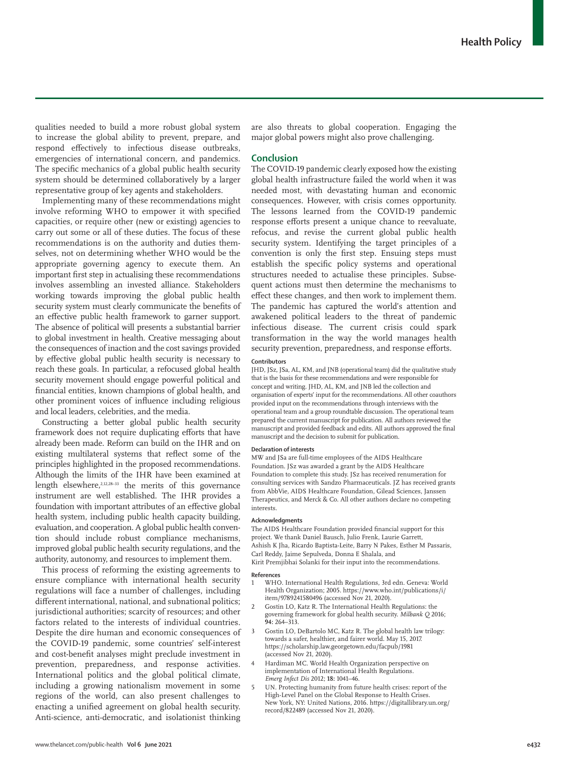qualities needed to build a more robust global system to increase the global ability to prevent, prepare, and respond effectively to infectious disease outbreaks, emergencies of international concern, and pandemics. The specific mechanics of a global public health security system should be determined collaboratively by a larger representative group of key agents and stakeholders.

Implementing many of these recommendations might involve reforming WHO to empower it with specified capacities, or require other (new or existing) agencies to carry out some or all of these duties. The focus of these recommendations is on the authority and duties themselves, not on determining whether WHO would be the appropriate governing agency to execute them. An important first step in actualising these recommendations involves assembling an invested alliance. Stakeholders working towards improving the global public health security system must clearly communicate the benefits of an effective public health framework to garner support. The absence of political will presents a substantial barrier to global investment in health. Creative messaging about the consequences of inaction and the cost savings provided by effective global public health security is necessary to reach these goals. In particular, a refocused global health security movement should engage powerful political and financial entities, known champions of global health, and other prominent voices of influence including religious and local leaders, celebrities, and the media.

Constructing a better global public health security framework does not require duplicating efforts that have already been made. Reform can build on the IHR and on existing multilateral systems that reflect some of the principles highlighted in the proposed recommendations. Although the limits of the IHR have been examined at length elsewhere, $2,12,28-33$  the merits of this governance instrument are well established. The IHR provides a foundation with important attributes of an effective global health system, including public health capacity building, evaluation, and cooperation. A global public health convention should include robust compliance mechanisms, improved global public health security regulations, and the authority, autonomy, and resources to implement them.

This process of reforming the existing agreements to ensure compliance with international health security regulations will face a number of challenges, including different international, national, and subnational politics; jurisdictional authorities; scarcity of resources; and other factors related to the interests of individual countries. Despite the dire human and economic consequences of the COVID-19 pandemic, some countries' self-interest and cost-benefit analyses might preclude investment in prevention, preparedness, and response activities. International politics and the global political climate, including a growing nationalism movement in some regions of the world, can also present challenges to enacting a unified agreement on global health security. Anti-science, anti-democratic, and isolationist thinking are also threats to global cooperation. Engaging the major global powers might also prove challenging.

# **Conclusion**

The COVID-19 pandemic clearly exposed how the existing global health infrastructure failed the world when it was needed most, with devastating human and economic consequences. However, with crisis comes opportunity. The lessons learned from the COVID-19 pandemic response efforts present a unique chance to reevaluate, refocus, and revise the current global public health security system. Identifying the target principles of a convention is only the first step. Ensuing steps must establish the specific policy systems and operational structures needed to actualise these principles. Subsequent actions must then determine the mechanisms to effect these changes, and then work to implement them. The pandemic has captured the world's attention and awakened political leaders to the threat of pandemic infectious disease. The current crisis could spark transformation in the way the world manages health security prevention, preparedness, and response efforts.

# **Contributors**

JHD, JSz, JSa, AL, KM, and JNB (operational team) did the qualitative study that is the basis for these recommendations and were responsible for concept and writing. JHD, AL, KM, and JNB led the collection and organisation of experts' input for the recommendations. All other coauthors provided input on the recommendations through interviews with the operational team and a group roundtable discussion. The operational team prepared the current manuscript for publication. All authors reviewed the manuscript and provided feedback and edits. All authors approved the final manuscript and the decision to submit for publication.

#### **Declaration of interests**

MW and JSa are full-time employees of the AIDS Healthcare Foundation. JSz was awarded a grant by the AIDS Healthcare Foundation to complete this study. JSz has received renumeration for consulting services with Sandzo Pharmaceuticals. JZ has received grants from AbbVie, AIDS Healthcare Foundation, Gilead Sciences, Janssen Therapeutics, and Merck & Co. All other authors declare no competing interests.

#### **Acknowledgments**

The AIDS Healthcare Foundation provided financial support for this project. We thank Daniel Bausch, Julio Frenk, Laurie Garrett, Ashish K Jha, Ricardo Baptista-Leite, Barry N Pakes, Esther M Passaris, Carl Reddy, Jaime Sepulveda, Donna E Shalala, and Kirit Premjibhai Solanki for their input into the recommendations.

#### **References**

- 1 WHO. International Health Regulations, 3rd edn. Geneva: World Health Organization; 2005. https://www.who.int/publications/i/ item/9789241580496 (accessed Nov 21, 2020).
- 2 Gostin LO, Katz R. The International Health Regulations: the governing framework for global health security. *Milbank Q* 2016; **94:** 264–313.
- Gostin LO, DeBartolo MC, Katz R. The global health law trilogy: towards a safer, healthier, and fairer world. May 15, 2017. https://scholarship.law.georgetown.edu/facpub/1981 (accessed Nov 21, 2020).
- 4 Hardiman MC. World Health Organization perspective on implementation of International Health Regulations. *Emerg Infect Dis* 2012; **18:** 1041–46.
- UN. Protecting humanity from future health crises: report of the High-Level Panel on the Global Response to Health Crises. New York, NY: United Nations, 2016. https://digitallibrary.un.org/ record/822489 (accessed Nov 21, 2020).